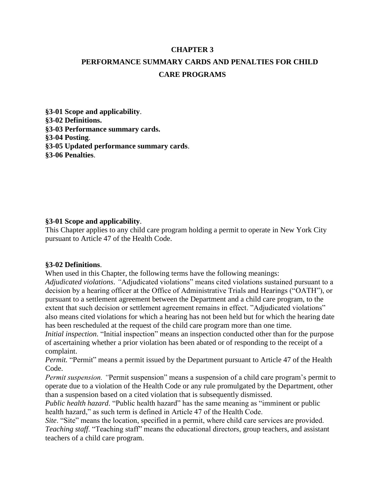#### **CHAPTER 3**

# **PERFORMANCE SUMMARY CARDS AND PENALTIES FOR CHILD CARE PROGRAMS**

**§3-01 Scope and applicability**. **§3-02 Definitions. §3-03 Performance summary cards. §3-04 Posting**. **§3-05 Updated performance summary cards**. **§3-06 Penalties**.

### **§3-01 Scope and applicability**.

This Chapter applies to any child care program holding a permit to operate in New York City pursuant to Article 47 of the Health Code.

#### **§3-02 Definitions**.

When used in this Chapter, the following terms have the following meanings:

*Adjudicated violations*. *"*Adjudicated violations" means cited violations sustained pursuant to a decision by a hearing officer at the Office of Administrative Trials and Hearings ("OATH"), or pursuant to a settlement agreement between the Department and a child care program, to the extent that such decision or settlement agreement remains in effect. "Adjudicated violations" also means cited violations for which a hearing has not been held but for which the hearing date has been rescheduled at the request of the child care program more than one time.

*Initial inspection*. "Initial inspection" means an inspection conducted other than for the purpose of ascertaining whether a prior violation has been abated or of responding to the receipt of a complaint.

*Permit.* "Permit" means a permit issued by the Department pursuant to Article 47 of the Health Code.

*Permit suspension. "*Permit suspension" means a suspension of a child care program's permit to operate due to a violation of the Health Code or any rule promulgated by the Department, other than a suspension based on a cited violation that is subsequently dismissed.

*Public health hazard*. "Public health hazard" has the same meaning as "imminent or public health hazard," as such term is defined in Article 47 of the Health Code.

*Site*. "Site" means the location, specified in a permit, where child care services are provided. *Teaching staff*. "Teaching staff" means the educational directors, group teachers, and assistant teachers of a child care program.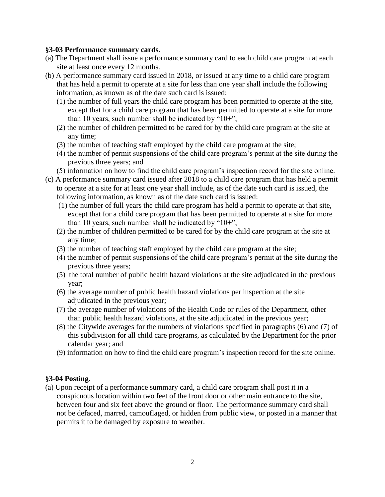#### **§3-03 Performance summary cards.**

- (a) The Department shall issue a performance summary card to each child care program at each site at least once every 12 months.
- (b) A performance summary card issued in 2018, or issued at any time to a child care program that has held a permit to operate at a site for less than one year shall include the following information, as known as of the date such card is issued:
	- (1) the number of full years the child care program has been permitted to operate at the site, except that for a child care program that has been permitted to operate at a site for more than 10 years, such number shall be indicated by " $10+$ ";
	- (2) the number of children permitted to be cared for by the child care program at the site at any time;
	- (3) the number of teaching staff employed by the child care program at the site;
	- (4) the number of permit suspensions of the child care program's permit at the site during the previous three years; and
	- (5) information on how to find the child care program's inspection record for the site online.
- (c) A performance summary card issued after 2018 to a child care program that has held a permit to operate at a site for at least one year shall include, as of the date such card is issued, the following information, as known as of the date such card is issued:
	- (1) the number of full years the child care program has held a permit to operate at that site, except that for a child care program that has been permitted to operate at a site for more than 10 years, such number shall be indicated by " $10+$ ";
	- (2) the number of children permitted to be cared for by the child care program at the site at any time;
	- (3) the number of teaching staff employed by the child care program at the site;
	- (4) the number of permit suspensions of the child care program's permit at the site during the previous three years;
	- (5) the total number of public health hazard violations at the site adjudicated in the previous year;
	- (6) the average number of public health hazard violations per inspection at the site adjudicated in the previous year;
	- (7) the average number of violations of the Health Code or rules of the Department, other than public health hazard violations, at the site adjudicated in the previous year;
	- (8) the Citywide averages for the numbers of violations specified in paragraphs (6) and (7) of this subdivision for all child care programs, as calculated by the Department for the prior calendar year; and
	- (9) information on how to find the child care program's inspection record for the site online.

### **§3-04 Posting**.

(a) Upon receipt of a performance summary card, a child care program shall post it in a conspicuous location within two feet of the front door or other main entrance to the site, between four and six feet above the ground or floor. The performance summary card shall not be defaced, marred, camouflaged, or hidden from public view, or posted in a manner that permits it to be damaged by exposure to weather.